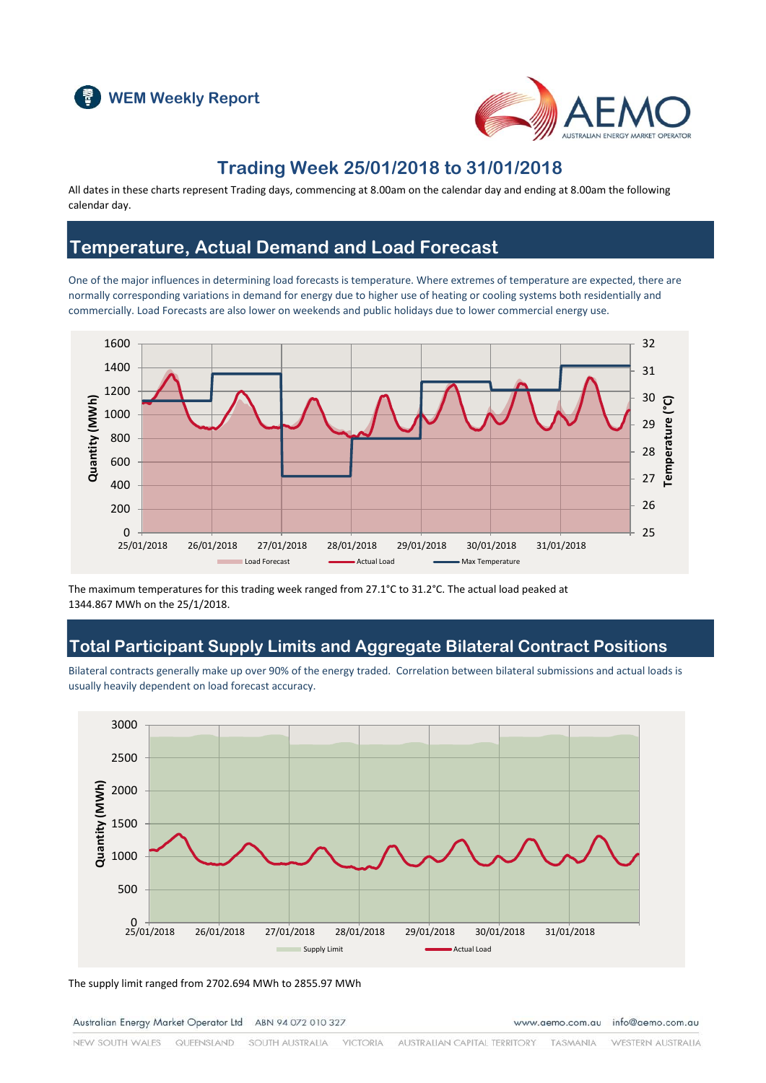



### **Trading Week 25/01/2018 to 31/01/2018**

All dates in these charts represent Trading days, commencing at 8.00am on the calendar day and ending at 8.00am the following calendar day.

### **Temperature, Actual Demand and Load Forecast**

One of the major influences in determining load forecasts is temperature. Where extremes of temperature are expected, there are normally corresponding variations in demand for energy due to higher use of heating or cooling systems both residentially and commercially. Load Forecasts are also lower on weekends and public holidays due to lower commercial energy use.



The maximum temperatures for this trading week ranged from 27.1°C to 31.2°C. The actual load peaked at 1344.867 MWh on the 25/1/2018.

### **Total Participant Supply Limits and Aggregate Bilateral Contract Positions**

Bilateral contracts generally make up over 90% of the energy traded. Correlation between bilateral submissions and actual loads is usually heavily dependent on load forecast accuracy.



The supply limit ranged from 2702.694 MWh to 2855.97 MWh

Australian Energy Market Operator Ltd ABN 94 072 010 327

www.aemo.com.au info@aemo.com.au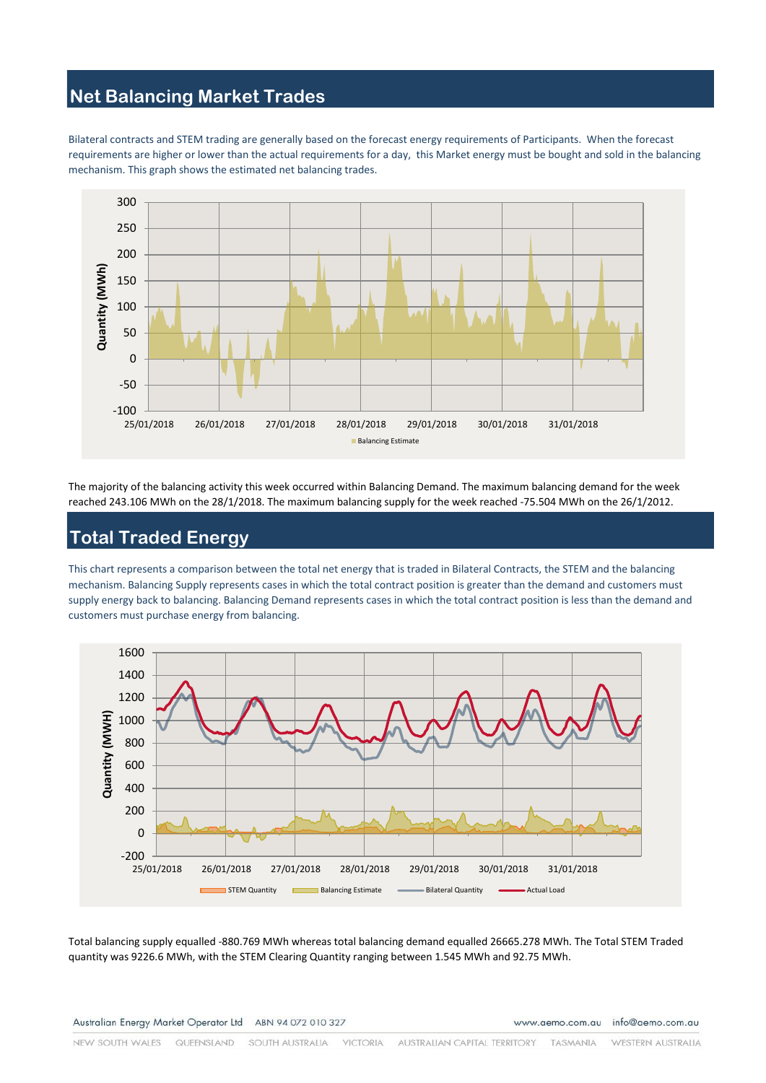# **Net Balancing Market Trades**

Bilateral contracts and STEM trading are generally based on the forecast energy requirements of Participants. When the forecast requirements are higher or lower than the actual requirements for a day, this Market energy must be bought and sold in the balancing mechanism. This graph shows the estimated net balancing trades.



The majority of the balancing activity this week occurred within Balancing Demand. The maximum balancing demand for the week reached 243.106 MWh on the 28/1/2018. The maximum balancing supply for the week reached -75.504 MWh on the 26/1/2012.

# **Total Traded Energy**

This chart represents a comparison between the total net energy that is traded in Bilateral Contracts, the STEM and the balancing mechanism. Balancing Supply represents cases in which the total contract position is greater than the demand and customers must supply energy back to balancing. Balancing Demand represents cases in which the total contract position is less than the demand and customers must purchase energy from balancing.



Total balancing supply equalled -880.769 MWh whereas total balancing demand equalled 26665.278 MWh. The Total STEM Traded quantity was 9226.6 MWh, with the STEM Clearing Quantity ranging between 1.545 MWh and 92.75 MWh.